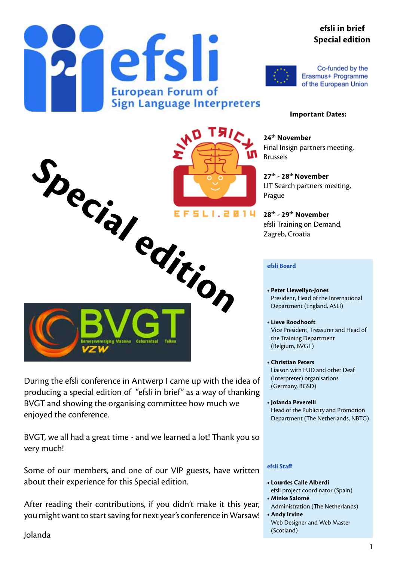#### **efsli in brief Special edition**





Co-funded by the Erasmus+ Programme of the European Union

#### **Important Dates:**

**24th November** Final Insign partners meeting, Brussels

**27th - 28th November** LIT Search partners meeting, Prague

**28th - 29th November** efsli Training on Demand,

#### **efsli Board**

- **• Peter Llewellyn-Jones** President, Head of the International Department (England, ASLI)
- **• Lieve Roodhooft** Vice President, Treasurer and Head of the Training Department (Belgium, BVGT)
- **• Christian Peters**  Liaison with EUD and other Deaf (Interpreter) organisations (Germany, BGSD)
- **• Jolanda Peverelli** Head of the Publicity and Promotion Department (The Netherlands, NBTG)

#### **efsli Staff**

- **• Lourdes Calle Alberdi** efsli project coordinator (Spain)
- **• Minke Salomé**
- Administration (The Netherlands) **• Andy Irvine**
- Web Designer and Web Master (Scotland)



During the efsli conference in Antwerp I came up with the idea of producing a special edition of "efsli in brief" as a way of thanking BVGT and showing the organising committee how much we enjoyed the conference.

BVGT, we all had a great time - and we learned a lot! Thank you so very much!

Some of our members, and one of our VIP guests, have written about their experience for this Special edition.

After reading their contributions, if you didn't make it this year, you might want to start saving for next year's conference in Warsaw!

Jolanda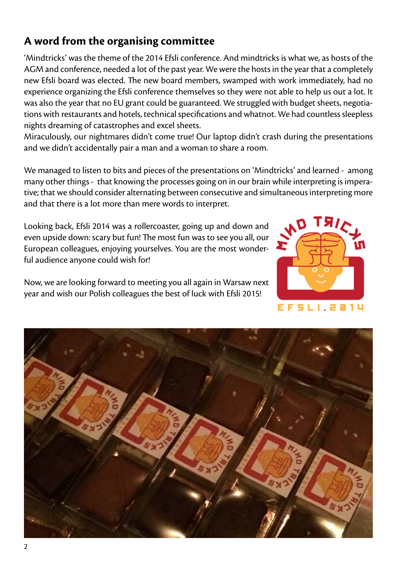#### **A word from the organising committee**

'Mindtricks' was the theme of the 2014 Efsli conference. And mindtricks is what we, as hosts of the AGM and conference, needed a lot of the past year. We were the hosts in the year that a completely new Efsli board was elected. The new board members, swamped with work immediately, had no experience organizing the Efsli conference themselves so they were not able to help us out a lot. It was also the year that no EU grant could be guaranteed. We struggled with budget sheets, negotiations with restaurants and hotels, technical specifications and whatnot. We had countless sleepless nights dreaming of catastrophes and excel sheets.

Miraculously, our nightmares didn't come true! Our laptop didn't crash during the presentations and we didn't accidentally pair a man and a woman to share a room.

We managed to listen to bits and pieces of the presentations on 'Mindtricks' and learned - among many other things - that knowing the processes going on in our brain while interpreting is imperative; that we should consider alternating between consecutive and simultaneous interpreting more and that there is a lot more than mere words to interpret.

Looking back, Efsli 2014 was a rollercoaster, going up and down and even upside down: scary but fun! The most fun was to see you all, our European colleagues, enjoying yourselves. You are the most wonderful audience anyone could wish for!

Now, we are looking forward to meeting you all again in Warsaw next year and wish our Polish colleagues the best of luck with Efsli 2015!



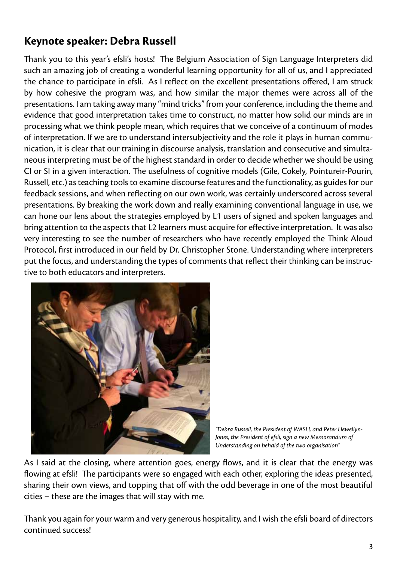## **Keynote speaker: Debra Russell**

Thank you to this year's efsli's hosts! The Belgium Association of Sign Language Interpreters did such an amazing job of creating a wonderful learning opportunity for all of us, and I appreciated the chance to participate in efsli. As I reflect on the excellent presentations offered, I am struck by how cohesive the program was, and how similar the major themes were across all of the presentations. I am taking away many "mind tricks" from your conference, including the theme and evidence that good interpretation takes time to construct, no matter how solid our minds are in processing what we think people mean, which requires that we conceive of a continuum of modes of interpretation. If we are to understand intersubjectivity and the role it plays in human communication, it is clear that our training in discourse analysis, translation and consecutive and simultaneous interpreting must be of the highest standard in order to decide whether we should be using CI or SI in a given interaction. The usefulness of cognitive models (Gile, Cokely, Pointureir-Pourin, Russell, etc.) as teaching tools to examine discourse features and the functionality, as guides for our feedback sessions, and when reflecting on our own work, was certainly underscored across several presentations. By breaking the work down and really examining conventional language in use, we can hone our lens about the strategies employed by L1 users of signed and spoken languages and bring attention to the aspects that L2 learners must acquire for effective interpretation. It was also very interesting to see the number of researchers who have recently employed the Think Aloud Protocol, first introduced in our field by Dr. Christopher Stone. Understanding where interpreters put the focus, and understanding the types of comments that reflect their thinking can be instructive to both educators and interpreters.



*<sup>&</sup>quot;Debra Russell, the President of WASLI, and Peter Llewellyn-Jones, the President of efsli, sign a new Memorandum of Understanding on behald of the two organisation"*

As I said at the closing, where attention goes, energy flows, and it is clear that the energy was flowing at efsli! The participants were so engaged with each other, exploring the ideas presented, sharing their own views, and topping that off with the odd beverage in one of the most beautiful cities – these are the images that will stay with me.

Thank you again for your warm and very generous hospitality, and I wish the efsli board of directors continued success!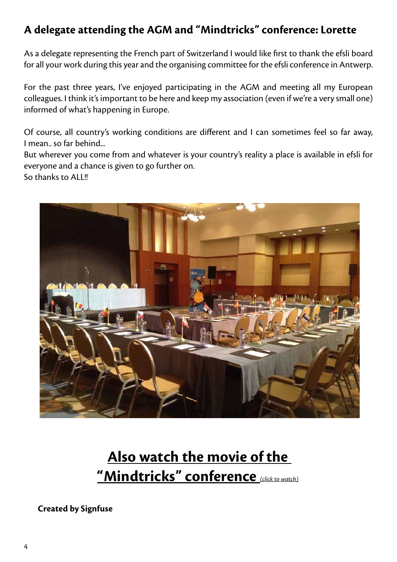## **A delegate attending the AGM and "Mindtricks" conference: Lorette**

As a delegate representing the French part of Switzerland I would like first to thank the efsli board for all your work during this year and the organising committee for the efsli conference in Antwerp.

For the past three years, I've enjoyed participating in the AGM and meeting all my European colleagues. I think it's important to be here and keep my association (even if we're a very small one) informed of what's happening in Europe.

Of course, all country's working conditions are different and I can sometimes feel so far away, I mean.. so far behind...

But wherever you come from and whatever is your country's reality a place is available in efsli for everyone and a chance is given to go further on. So thanks to ALL!!



# **[Also watch the movie of the](https://www.youtube.com/watch?v=g5Qt-hJd1YE)  ["Mindtricks" conference](https://www.youtube.com/watch?v=g5Qt-hJd1YE)** *(click to watch)*

**Created by Signfuse**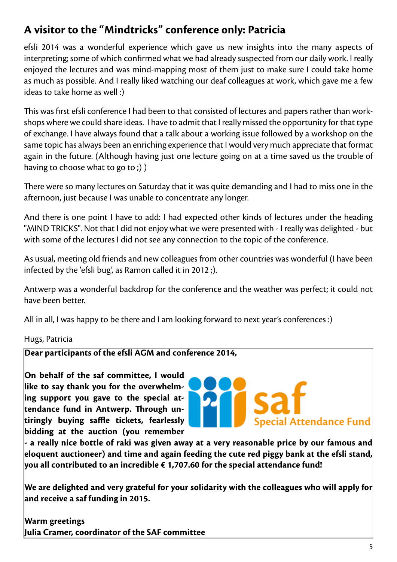## **A visitor to the "Mindtricks" conference only: Patricia**

efsli 2014 was a wonderful experience which gave us new insights into the many aspects of interpreting; some of which confirmed what we had already suspected from our daily work. I really enjoyed the lectures and was mind-mapping most of them just to make sure I could take home as much as possible. And I really liked watching our deaf colleagues at work, which gave me a few ideas to take home as well :)

This was first efsli conference I had been to that consisted of lectures and papers rather than workshops where we could share ideas. I have to admit that I really missed the opportunity for that type of exchange. I have always found that a talk about a working issue followed by a workshop on the same topic has always been an enriching experience that I would very much appreciate that format again in the future. (Although having just one lecture going on at a time saved us the trouble of having to choose what to go to;) )

There were so many lectures on Saturday that it was quite demanding and I had to miss one in the afternoon, just because I was unable to concentrate any longer.

And there is one point I have to add: I had expected other kinds of lectures under the heading "MIND TRICKS". Not that I did not enjoy what we were presented with - I really was delighted - but with some of the lectures I did not see any connection to the topic of the conference.

As usual, meeting old friends and new colleagues from other countries was wonderful (I have been infected by the 'efsli bug', as Ramon called it in 2012;).

Antwerp was a wonderful backdrop for the conference and the weather was perfect; it could not have been better.

All in all, I was happy to be there and I am looking forward to next year's conferences :)

Hugs, Patricia

**Dear participants of the efsli AGM and conference 2014,**

**On behalf of the saf committee, I would like to say thank you for the overwhelming support you gave to the special attendance fund in Antwerp. Through untiringly buying saffle tickets, fearlessly bidding at the auction (you remember** 



**- a really nice bottle of raki was given away at a very reasonable price by our famous and eloquent auctioneer) and time and again feeding the cute red piggy bank at the efsli stand, you all contributed to an incredible € 1,707.60 for the special attendance fund!**

**We are delighted and very grateful for your solidarity with the colleagues who will apply for and receive a saf funding in 2015.**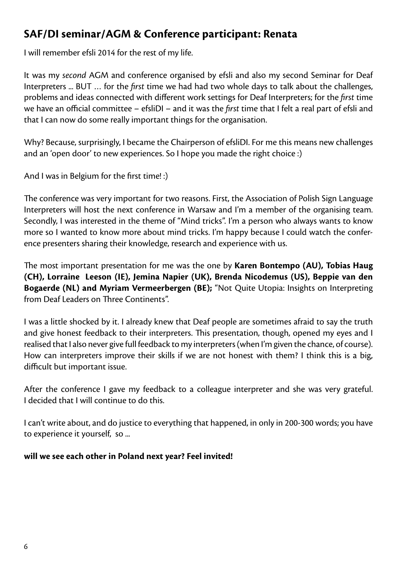## **SAF/DI seminar/AGM & Conference participant: Renata**

I will remember efsli 2014 for the rest of my life.

It was my *second* AGM and conference organised by efsli and also my second Seminar for Deaf Interpreters ... BUT … for the *first* time we had had two whole days to talk about the challenges, problems and ideas connected with different work settings for Deaf Interpreters; for the *first* time we have an official committee – efsliDI – and it was the *first* time that I felt a real part of efsli and that I can now do some really important things for the organisation.

Why? Because, surprisingly, I became the Chairperson of efsliDI. For me this means new challenges and an 'open door' to new experiences. So I hope you made the right choice :)

And I was in Belgium for the first time! :)

The conference was very important for two reasons. First, the Association of Polish Sign Language Interpreters will host the next conference in Warsaw and I'm a member of the organising team. Secondly, I was interested in the theme of "Mind tricks". I'm a person who always wants to know more so I wanted to know more about mind tricks. I'm happy because I could watch the conference presenters sharing their knowledge, research and experience with us.

The most important presentation for me was the one by **Karen Bontempo (AU), Tobias Haug (CH), Lorraine Leeson (IE), Jemina Napier (UK), Brenda Nicodemus (US), Beppie van den Bogaerde (NL) and Myriam Vermeerbergen (BE);** "Not Quite Utopia: Insights on Interpreting from Deaf Leaders on Three Continents".

I was a little shocked by it. I already knew that Deaf people are sometimes afraid to say the truth and give honest feedback to their interpreters. This presentation, though, opened my eyes and I realised that I also never give full feedback to my interpreters (when I'm given the chance, of course). How can interpreters improve their skills if we are not honest with them? I think this is a big, difficult but important issue.

After the conference I gave my feedback to a colleague interpreter and she was very grateful. I decided that I will continue to do this.

I can't write about, and do justice to everything that happened, in only in 200-300 words; you have to experience it yourself, so ...

#### **will we see each other in Poland next year? Feel invited!**